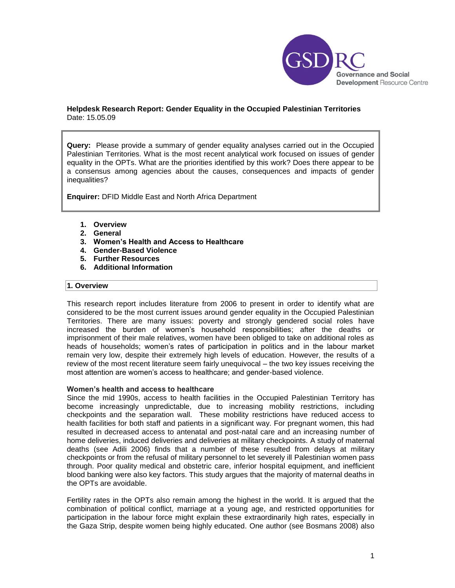

## **Helpdesk Research Report: Gender Equality in the Occupied Palestinian Territories** Date: 15.05.09

**Query:** Please provide a summary of gender equality analyses carried out in the Occupied Palestinian Territories. What is the most recent analytical work focused on issues of gender equality in the OPTs. What are the priorities identified by this work? Does there appear to be a consensus among agencies about the causes, consequences and impacts of gender inequalities?

**Enquirer:** DFID Middle East and North Africa Department

- **1. Overview**
- **2. General**
- **3. Women's Health and Access to Healthcare**
- **4. Gender-Based Violence**
- **5. Further Resources**
- **6. Additional Information**

# **1. Overview**

This research report includes literature from 2006 to present in order to identify what are considered to be the most current issues around gender equality in the Occupied Palestinian Territories. There are many issues: poverty and strongly gendered social roles have increased the burden of women"s household responsibilities; after the deaths or imprisonment of their male relatives, women have been obliged to take on additional roles as heads of households; women"s rates of participation in politics and in the labour market remain very low, despite their extremely high levels of education. However, the results of a review of the most recent literature seem fairly unequivocal – the two key issues receiving the most attention are women"s access to healthcare; and gender-based violence.

#### **Women's health and access to healthcare**

Since the mid 1990s, access to health facilities in the Occupied Palestinian Territory has become increasingly unpredictable, due to increasing mobility restrictions, including checkpoints and the separation wall. These mobility restrictions have reduced access to health facilities for both staff and patients in a significant way. For pregnant women, this had resulted in decreased access to antenatal and post-natal care and an increasing number of home deliveries, induced deliveries and deliveries at military checkpoints. A study of maternal deaths (see Adili 2006) finds that a number of these resulted from delays at military checkpoints or from the refusal of military personnel to let severely ill Palestinian women pass through. Poor quality medical and obstetric care, inferior hospital equipment, and inefficient blood banking were also key factors. This study argues that the majority of maternal deaths in the OPTs are avoidable.

Fertility rates in the OPTs also remain among the highest in the world. It is argued that the combination of political conflict, marriage at a young age, and restricted opportunities for participation in the labour force might explain these extraordinarily high rates, especially in the Gaza Strip, despite women being highly educated. One author (see Bosmans 2008) also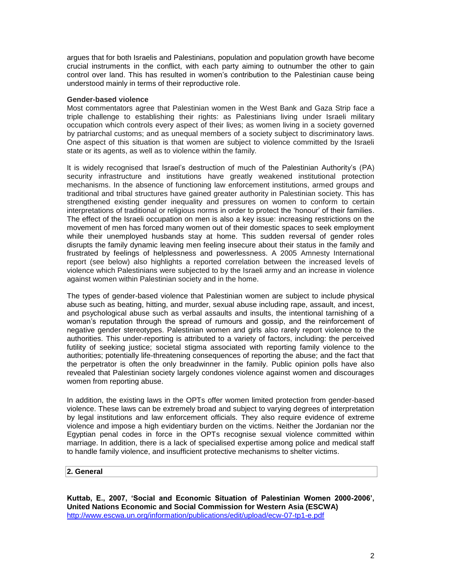argues that for both Israelis and Palestinians, population and population growth have become crucial instruments in the conflict, with each party aiming to outnumber the other to gain control over land. This has resulted in women's contribution to the Palestinian cause being understood mainly in terms of their reproductive role.

#### **Gender-based violence**

Most commentators agree that Palestinian women in the West Bank and Gaza Strip face a triple challenge to establishing their rights: as Palestinians living under Israeli military occupation which controls every aspect of their lives; as women living in a society governed by patriarchal customs; and as unequal members of a society subject to discriminatory laws. One aspect of this situation is that women are subject to violence committed by the Israeli state or its agents, as well as to violence within the family.

It is widely recognised that Israel"s destruction of much of the Palestinian Authority"s (PA) security infrastructure and institutions have greatly weakened institutional protection mechanisms. In the absence of functioning law enforcement institutions, armed groups and traditional and tribal structures have gained greater authority in Palestinian society. This has strengthened existing gender inequality and pressures on women to conform to certain interpretations of traditional or religious norms in order to protect the "honour" of their families. The effect of the Israeli occupation on men is also a key issue: increasing restrictions on the movement of men has forced many women out of their domestic spaces to seek employment while their unemployed husbands stay at home. This sudden reversal of gender roles disrupts the family dynamic leaving men feeling insecure about their status in the family and frustrated by feelings of helplessness and powerlessness. A 2005 Amnesty International report (see below) also highlights a reported correlation between the increased levels of violence which Palestinians were subjected to by the Israeli army and an increase in violence against women within Palestinian society and in the home.

The types of gender-based violence that Palestinian women are subject to include physical abuse such as beating, hitting, and murder, sexual abuse including rape, assault, and incest, and psychological abuse such as verbal assaults and insults, the intentional tarnishing of a woman"s reputation through the spread of rumours and gossip, and the reinforcement of negative gender stereotypes. Palestinian women and girls also rarely report violence to the authorities. This under-reporting is attributed to a variety of factors, including: the perceived futility of seeking justice; societal stigma associated with reporting family violence to the authorities; potentially life-threatening consequences of reporting the abuse; and the fact that the perpetrator is often the only breadwinner in the family. Public opinion polls have also revealed that Palestinian society largely condones violence against women and discourages women from reporting abuse.

In addition, the existing laws in the OPTs offer women limited protection from gender-based violence. These laws can be extremely broad and subject to varying degrees of interpretation by legal institutions and law enforcement officials. They also require evidence of extreme violence and impose a high evidentiary burden on the victims. Neither the Jordanian nor the Egyptian penal codes in force in the OPTs recognise sexual violence committed within marriage. In addition, there is a lack of specialised expertise among police and medical staff to handle family violence, and insufficient protective mechanisms to shelter victims.

### **2. General**

**Kuttab, E., 2007, 'Social and Economic Situation of Palestinian Women 2000-2006', United Nations Economic and Social Commission for Western Asia (ESCWA)** <http://www.escwa.un.org/information/publications/edit/upload/ecw-07-tp1-e.pdf>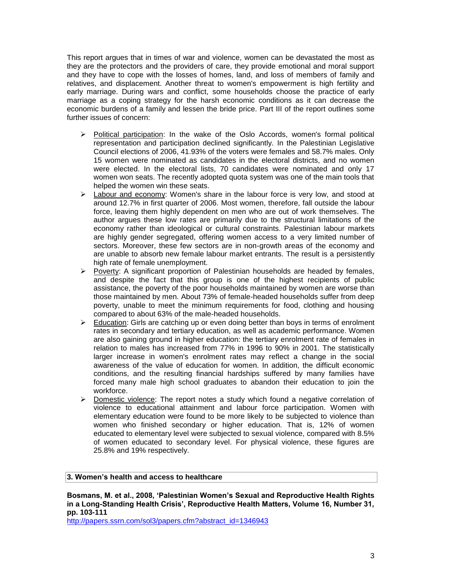This report argues that in times of war and violence, women can be devastated the most as they are the protectors and the providers of care, they provide emotional and moral support and they have to cope with the losses of homes, land, and loss of members of family and relatives, and displacement. Another threat to women's empowerment is high fertility and early marriage. During wars and conflict, some households choose the practice of early marriage as a coping strategy for the harsh economic conditions as it can decrease the economic burdens of a family and lessen the bride price. Part III of the report outlines some further issues of concern:

- $\triangleright$  Political participation: In the wake of the Oslo Accords, women's formal political representation and participation declined significantly. In the Palestinian Legislative Council elections of 2006, 41.93% of the voters were females and 58.7% males. Only 15 women were nominated as candidates in the electoral districts, and no women were elected. In the electoral lists, 70 candidates were nominated and only 17 women won seats. The recently adopted quota system was one of the main tools that helped the women win these seats.
- $\triangleright$  Labour and economy: Women's share in the labour force is very low, and stood at around 12.7% in first quarter of 2006. Most women, therefore, fall outside the labour force, leaving them highly dependent on men who are out of work themselves. The author argues these low rates are primarily due to the structural limitations of the economy rather than ideological or cultural constraints. Palestinian labour markets are highly gender segregated, offering women access to a very limited number of sectors. Moreover, these few sectors are in non-growth areas of the economy and are unable to absorb new female labour market entrants. The result is a persistently high rate of female unemployment.
- $\triangleright$  Poverty: A significant proportion of Palestinian households are headed by females, and despite the fact that this group is one of the highest recipients of public assistance, the poverty of the poor households maintained by women are worse than those maintained by men. About 73% of female-headed households suffer from deep poverty, unable to meet the minimum requirements for food, clothing and housing compared to about 63% of the male-headed households.
- $\triangleright$  Education: Girls are catching up or even doing better than boys in terms of enrolment rates in secondary and tertiary education, as well as academic performance. Women are also gaining ground in higher education: the tertiary enrolment rate of females in relation to males has increased from 77% in 1996 to 90% in 2001. The statistically larger increase in women's enrolment rates may reflect a change in the social awareness of the value of education for women. In addition, the difficult economic conditions, and the resulting financial hardships suffered by many families have forced many male high school graduates to abandon their education to join the workforce.
- $\triangleright$  Domestic violence: The report notes a study which found a negative correlation of violence to educational attainment and labour force participation. Women with elementary education were found to be more likely to be subjected to violence than women who finished secondary or higher education. That is, 12% of women educated to elementary level were subjected to sexual violence, compared with 8.5% of women educated to secondary level. For physical violence, these figures are 25.8% and 19% respectively.

# **3. Women's health and access to healthcare**

**Bosmans, M. et al., 2008, 'Palestinian Women's Sexual and Reproductive Health Rights in a Long-Standing Health Crisis', Reproductive Health Matters, Volume 16, Number 31, pp. 103-111**

[http://papers.ssrn.com/sol3/papers.cfm?abstract\\_id=1346943](http://papers.ssrn.com/sol3/papers.cfm?abstract_id=1346943)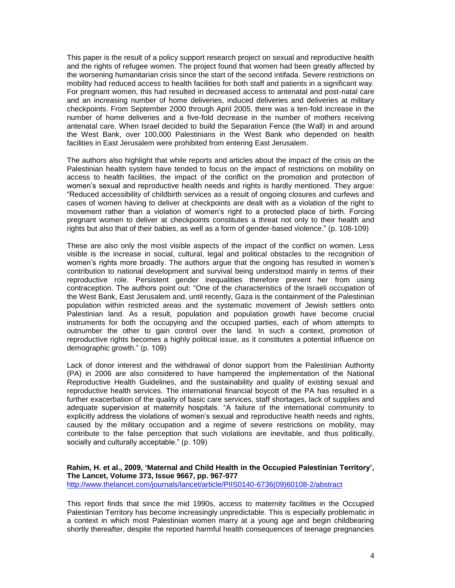This paper is the result of a policy support research project on sexual and reproductive health and the rights of refugee women. The project found that women had been greatly affected by the worsening humanitarian crisis since the start of the second intifada. Severe restrictions on mobility had reduced access to health facilities for both staff and patients in a significant way. For pregnant women, this had resulted in decreased access to antenatal and post-natal care and an increasing number of home deliveries, induced deliveries and deliveries at military checkpoints. From September 2000 through April 2005, there was a ten-fold increase in the number of home deliveries and a five-fold decrease in the number of mothers receiving antenatal care. When Israel decided to build the Separation Fence (the Wall) in and around the West Bank, over 100,000 Palestinians in the West Bank who depended on health facilities in East Jerusalem were prohibited from entering East Jerusalem.

The authors also highlight that while reports and articles about the impact of the crisis on the Palestinian health system have tended to focus on the impact of restrictions on mobility on access to health facilities, the impact of the conflict on the promotion and protection of women"s sexual and reproductive health needs and rights is hardly mentioned. They argue: "Reduced accessibility of childbirth services as a result of ongoing closures and curfews and cases of women having to deliver at checkpoints are dealt with as a violation of the right to movement rather than a violation of women"s right to a protected place of birth. Forcing pregnant women to deliver at checkpoints constitutes a threat not only to their health and rights but also that of their babies, as well as a form of gender-based violence." (p. 108-109)

These are also only the most visible aspects of the impact of the conflict on women. Less visible is the increase in social, cultural, legal and political obstacles to the recognition of women's rights more broadly. The authors argue that the ongoing has resulted in women's contribution to national development and survival being understood mainly in terms of their reproductive role. Persistent gender inequalities therefore prevent her from using contraception. The authors point out: "One of the characteristics of the Israeli occupation of the West Bank, East Jerusalem and, until recently, Gaza is the containment of the Palestinian population within restricted areas and the systematic movement of Jewish settlers onto Palestinian land. As a result, population and population growth have become crucial instruments for both the occupying and the occupied parties, each of whom attempts to outnumber the other to gain control over the land. In such a context, promotion of reproductive rights becomes a highly political issue, as it constitutes a potential influence on demographic growth." (p. 109)

Lack of donor interest and the withdrawal of donor support from the Palestinian Authority (PA) in 2006 are also considered to have hampered the implementation of the National Reproductive Health Guidelines, and the sustainability and quality of existing sexual and reproductive health services. The international financial boycott of the PA has resulted in a further exacerbation of the quality of basic care services, staff shortages, lack of supplies and adequate supervision at maternity hospitals. "A failure of the international community to explicitly address the violations of women's sexual and reproductive health needs and rights, caused by the military occupation and a regime of severe restrictions on mobility, may contribute to the false perception that such violations are inevitable, and thus politically, socially and culturally acceptable." (p. 109)

# **Rahim, H. et al., 2009, 'Maternal and Child Health in the Occupied Palestinian Territory', The Lancet, Volume 373, Issue 9667, pp. 967-977**

[http://www.thelancet.com/journals/lancet/article/PIIS0140-6736\(09\)60108-2/abstract](http://www.thelancet.com/journals/lancet/article/PIIS0140-6736(09)60108-2/abstract)

This report finds that since the mid 1990s, access to maternity facilities in the Occupied Palestinian Territory has become increasingly unpredictable. This is especially problematic in a context in which most Palestinian women marry at a young age and begin childbearing shortly thereafter, despite the reported harmful health consequences of teenage pregnancies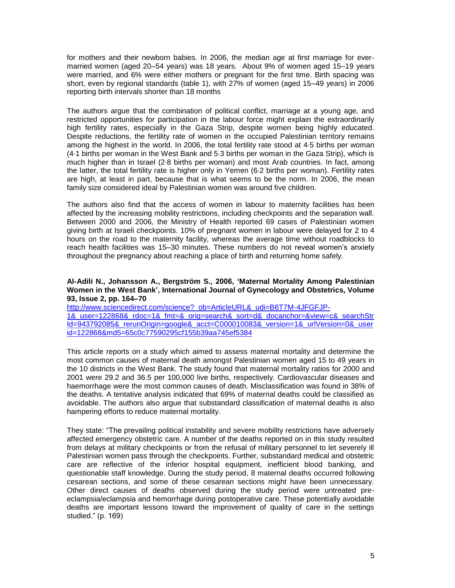for mothers and their newborn babies. In 2006, the median age at first marriage for evermarried women (aged 20–54 years) was 18 years. About 9% of women aged 15–19 years were married, and 6% were either mothers or pregnant for the first time. Birth spacing was short, even by regional standards (table 1), with 27% of women (aged 15–49 years) in 2006 reporting birth intervals shorter than 18 months

The authors argue that the combination of political conflict, marriage at a young age, and restricted opportunities for participation in the labour force might explain the extraordinarily high fertility rates, especially in the Gaza Strip, despite women being highly educated. Despite reductions, the fertility rate of women in the occupied Palestinian territory remains among the highest in the world. In 2006, the total fertility rate stood at 4·5 births per woman (4·1 births per woman in the West Bank and 5·3 births per woman in the Gaza Strip), which is much higher than in Israel (2·8 births per woman) and most Arab countries. In fact, among the latter, the total fertility rate is higher only in Yemen (6·2 births per woman). Fertility rates are high, at least in part, because that is what seems to be the norm. In 2006, the mean family size considered ideal by Palestinian women was around five children.

The authors also find that the access of women in labour to maternity facilities has been affected by the increasing mobility restrictions, including checkpoints and the separation wall. Between 2000 and 2006, the Ministry of Health reported 69 cases of Palestinian women giving birth at Israeli checkpoints. 10% of pregnant women in labour were delayed for 2 to 4 hours on the road to the maternity facility, whereas the average time without roadblocks to reach health facilities was 15–30 minutes. These numbers do not reveal women"s anxiety throughout the pregnancy about reaching a place of birth and returning home safely.

### **Al-Adili N., Johansson A., Bergström S., 2006, 'Maternal Mortality Among Palestinian Women in the West Bank', International Journal of Gynecology and Obstetrics, Volume 93, Issue 2, pp. 164–70**

[http://www.sciencedirect.com/science?\\_ob=ArticleURL&\\_udi=B6T7M-4JFGFJP-](http://www.sciencedirect.com/science?_ob=ArticleURL&_udi=B6T7M-4JFGFJP-1&_user=122868&_rdoc=1&_fmt=&_orig=search&_sort=d&_docanchor=&view=c&_searchStrId=943792085&_rerunOrigin=google&_acct=C000010083&_version=1&_urlVersion=0&_userid=122868&md5=65c0c77590295cf155b39aa745ef5384)[1&\\_user=122868&\\_rdoc=1&\\_fmt=&\\_orig=search&\\_sort=d&\\_docanchor=&view=c&\\_searchStr](http://www.sciencedirect.com/science?_ob=ArticleURL&_udi=B6T7M-4JFGFJP-1&_user=122868&_rdoc=1&_fmt=&_orig=search&_sort=d&_docanchor=&view=c&_searchStrId=943792085&_rerunOrigin=google&_acct=C000010083&_version=1&_urlVersion=0&_userid=122868&md5=65c0c77590295cf155b39aa745ef5384) [Id=943792085&\\_rerunOrigin=google&\\_acct=C000010083&\\_version=1&\\_urlVersion=0&\\_user](http://www.sciencedirect.com/science?_ob=ArticleURL&_udi=B6T7M-4JFGFJP-1&_user=122868&_rdoc=1&_fmt=&_orig=search&_sort=d&_docanchor=&view=c&_searchStrId=943792085&_rerunOrigin=google&_acct=C000010083&_version=1&_urlVersion=0&_userid=122868&md5=65c0c77590295cf155b39aa745ef5384) [id=122868&md5=65c0c77590295cf155b39aa745ef5384](http://www.sciencedirect.com/science?_ob=ArticleURL&_udi=B6T7M-4JFGFJP-1&_user=122868&_rdoc=1&_fmt=&_orig=search&_sort=d&_docanchor=&view=c&_searchStrId=943792085&_rerunOrigin=google&_acct=C000010083&_version=1&_urlVersion=0&_userid=122868&md5=65c0c77590295cf155b39aa745ef5384)

This article reports on a study which aimed to assess maternal mortality and determine the most common causes of maternal death amongst Palestinian women aged 15 to 49 years in the 10 districts in the West Bank. The study found that maternal mortality ratios for 2000 and 2001 were 29.2 and 36.5 per 100,000 live births, respectively. Cardiovascular diseases and haemorrhage were the most common causes of death. Misclassification was found in 38% of the deaths. A tentative analysis indicated that 69% of maternal deaths could be classified as avoidable. The authors also argue that substandard classification of maternal deaths is also hampering efforts to reduce maternal mortality.

They state: "The prevailing political instability and severe mobility restrictions have adversely affected emergency obstetric care. A number of the deaths reported on in this study resulted from delays at military checkpoints or from the refusal of military personnel to let severely ill Palestinian women pass through the checkpoints. Further, substandard medical and obstetric care are reflective of the inferior hospital equipment, inefficient blood banking, and questionable staff knowledge. During the study period, 8 maternal deaths occurred following cesarean sections, and some of these cesarean sections might have been unnecessary. Other direct causes of deaths observed during the study period were untreated preeclampsia/eclampsia and hemorrhage during postoperative care. These potentially avoidable deaths are important lessons toward the improvement of quality of care in the settings studied." (p. 169)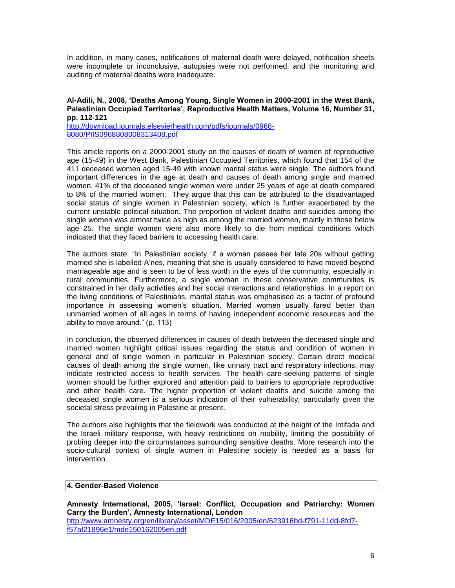In addition, in many cases, notifications of maternal death were delayed, notification sheets were incomplete or inconclusive, autopsies were not performed, and the monitoring and auditing of maternal deaths were inadequate.

# **Al-Adili, N., 2008, 'Deaths Among Young, Single Women in 2000-2001 in the West Bank, Palestinian Occupied Territories', Reproductive Health Matters, Volume 16, Number 31, pp. 112-121**

[http://download.journals.elsevierhealth.com/pdfs/journals/0968-](http://download.journals.elsevierhealth.com/pdfs/journals/0968-8080/PIIS0968808008313408.pdf) [8080/PIIS0968808008313408.pdf](http://download.journals.elsevierhealth.com/pdfs/journals/0968-8080/PIIS0968808008313408.pdf)

This article reports on a 2000-2001 study on the causes of death of women of reproductive age (15-49) in the West Bank, Palestinian Occupied Territories, which found that 154 of the 411 deceased women aged 15-49 with known marital status were single. The authors found important differences in the age at death and causes of death among single and married women. 41% of the deceased single women were under 25 years of age at death compared to 8% of the married women. They argue that this can be attributed to the disadvantaged social status of single women in Palestinian society, which is further exacerbated by the current unstable political situation. The proportion of violent deaths and suicides among the single women was almost twice as high as among the married women, mainly in those below age 25. The single women were also more likely to die from medical conditions which indicated that they faced barriers to accessing health care.

The authors state: "In Palestinian society, if a woman passes her late 20s without getting married she is labelled A"nes, meaning that she is usually considered to have moved beyond marriageable age and is seen to be of less worth in the eyes of the community, especially in rural communities. Furthermore, a single woman in these conservative communities is constrained in her daily activities and her social interactions and relationships. In a report on the living conditions of Palestinians, marital status was emphasised as a factor of profound importance in assessing women"s situation. Married women usually fared better than unmarried women of all ages in terms of having independent economic resources and the ability to move around." (p. 113)

In conclusion, the observed differences in causes of death between the deceased single and married women highlight critical issues regarding the status and condition of women in general and of single women in particular in Palestinian society. Certain direct medical causes of death among the single women, like urinary tract and respiratory infections, may indicate restricted access to health services. The health care-seeking patterns of single women should be further explored and attention paid to barriers to appropriate reproductive and other health care. The higher proportion of violent deaths and suicide among the deceased single women is a serious indication of their vulnerability, particularly given the societal stress prevailing in Palestine at present.

The authors also highlights that the fieldwork was conducted at the height of the Intifada and the Israeli military response, with heavy restrictions on mobility, limiting the possibility of probing deeper into the circumstances surrounding sensitive deaths. More research into the socio-cultural context of single women in Palestine society is needed as a basis for intervention.

# **4. Gender-Based Violence**

**Amnesty International, 2005, 'Israel: Conflict, Occupation and Patriarchy: Women Carry the Burden', Amnesty International, London** [http://www.amnesty.org/en/library/asset/MDE15/016/2005/en/623916bd-f791-11dd-8fd7](http://www.amnesty.org/en/library/asset/MDE15/016/2005/en/623916bd-f791-11dd-8fd7-f57af21896e1/mde150162005en.pdf) [f57af21896e1/mde150162005en.pdf](http://www.amnesty.org/en/library/asset/MDE15/016/2005/en/623916bd-f791-11dd-8fd7-f57af21896e1/mde150162005en.pdf)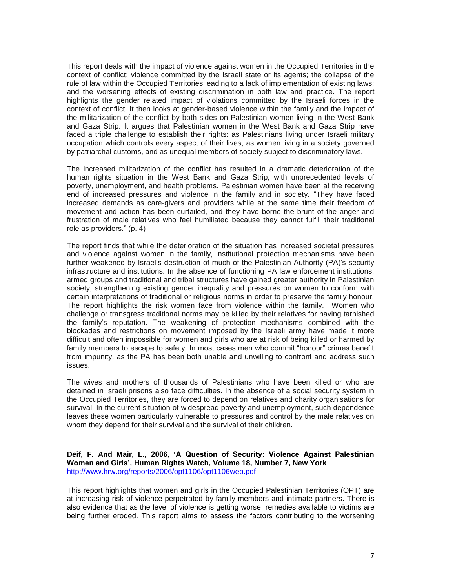This report deals with the impact of violence against women in the Occupied Territories in the context of conflict: violence committed by the Israeli state or its agents; the collapse of the rule of law within the Occupied Territories leading to a lack of implementation of existing laws; and the worsening effects of existing discrimination in both law and practice. The report highlights the gender related impact of violations committed by the Israeli forces in the context of conflict. It then looks at gender-based violence within the family and the impact of the militarization of the conflict by both sides on Palestinian women living in the West Bank and Gaza Strip. It argues that Palestinian women in the West Bank and Gaza Strip have faced a triple challenge to establish their rights: as Palestinians living under Israeli military occupation which controls every aspect of their lives; as women living in a society governed by patriarchal customs, and as unequal members of society subject to discriminatory laws.

The increased militarization of the conflict has resulted in a dramatic deterioration of the human rights situation in the West Bank and Gaza Strip, with unprecedented levels of poverty, unemployment, and health problems. Palestinian women have been at the receiving end of increased pressures and violence in the family and in society. "They have faced increased demands as care-givers and providers while at the same time their freedom of movement and action has been curtailed, and they have borne the brunt of the anger and frustration of male relatives who feel humiliated because they cannot fulfill their traditional role as providers." (p. 4)

The report finds that while the deterioration of the situation has increased societal pressures and violence against women in the family, institutional protection mechanisms have been further weakened by Israel's destruction of much of the Palestinian Authority (PA)'s security infrastructure and institutions. In the absence of functioning PA law enforcement institutions, armed groups and traditional and tribal structures have gained greater authority in Palestinian society, strengthening existing gender inequality and pressures on women to conform with certain interpretations of traditional or religious norms in order to preserve the family honour. The report highlights the risk women face from violence within the family. Women who challenge or transgress traditional norms may be killed by their relatives for having tarnished the family"s reputation. The weakening of protection mechanisms combined with the blockades and restrictions on movement imposed by the Israeli army have made it more difficult and often impossible for women and girls who are at risk of being killed or harmed by family members to escape to safety. In most cases men who commit "honour" crimes benefit from impunity, as the PA has been both unable and unwilling to confront and address such issues.

The wives and mothers of thousands of Palestinians who have been killed or who are detained in Israeli prisons also face difficulties. In the absence of a social security system in the Occupied Territories, they are forced to depend on relatives and charity organisations for survival. In the current situation of widespread poverty and unemployment, such dependence leaves these women particularly vulnerable to pressures and control by the male relatives on whom they depend for their survival and the survival of their children.

**Deif, F. And Mair, L., 2006, 'A Question of Security: Violence Against Palestinian Women and Girls', Human Rights Watch, Volume 18, Number 7, New York** <http://www.hrw.org/reports/2006/opt1106/opt1106web.pdf>

This report highlights that women and girls in the Occupied Palestinian Territories (OPT) are at increasing risk of violence perpetrated by family members and intimate partners. There is also evidence that as the level of violence is getting worse, remedies available to victims are being further eroded. This report aims to assess the factors contributing to the worsening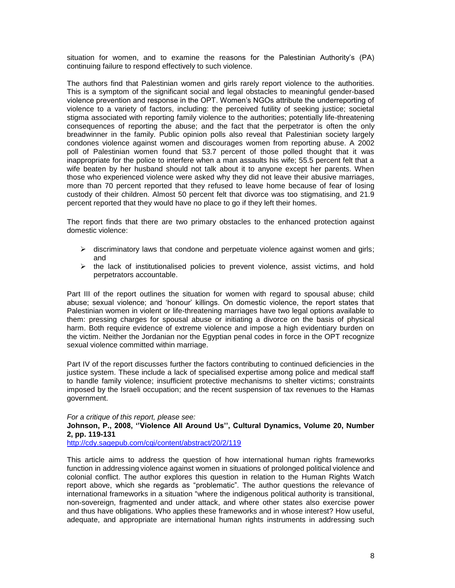situation for women, and to examine the reasons for the Palestinian Authority"s (PA) continuing failure to respond effectively to such violence.

The authors find that Palestinian women and girls rarely report violence to the authorities. This is a symptom of the significant social and legal obstacles to meaningful gender-based violence prevention and response in the OPT. Women"s NGOs attribute the underreporting of violence to a variety of factors, including: the perceived futility of seeking justice; societal stigma associated with reporting family violence to the authorities; potentially life-threatening consequences of reporting the abuse; and the fact that the perpetrator is often the only breadwinner in the family. Public opinion polls also reveal that Palestinian society largely condones violence against women and discourages women from reporting abuse. A 2002 poll of Palestinian women found that 53.7 percent of those polled thought that it was inappropriate for the police to interfere when a man assaults his wife; 55.5 percent felt that a wife beaten by her husband should not talk about it to anyone except her parents. When those who experienced violence were asked why they did not leave their abusive marriages, more than 70 percent reported that they refused to leave home because of fear of losing custody of their children. Almost 50 percent felt that divorce was too stigmatising, and 21.9 percent reported that they would have no place to go if they left their homes.

The report finds that there are two primary obstacles to the enhanced protection against domestic violence:

- $\triangleright$  discriminatory laws that condone and perpetuate violence against women and girls; and
- $\triangleright$  the lack of institutionalised policies to prevent violence, assist victims, and hold perpetrators accountable.

Part III of the report outlines the situation for women with regard to spousal abuse; child abuse; sexual violence; and "honour" killings. On domestic violence, the report states that Palestinian women in violent or life-threatening marriages have two legal options available to them: pressing charges for spousal abuse or initiating a divorce on the basis of physical harm. Both require evidence of extreme violence and impose a high evidentiary burden on the victim. Neither the Jordanian nor the Egyptian penal codes in force in the OPT recognize sexual violence committed within marriage.

Part IV of the report discusses further the factors contributing to continued deficiencies in the justice system. These include a lack of specialised expertise among police and medical staff to handle family violence; insufficient protective mechanisms to shelter victims; constraints imposed by the Israeli occupation; and the recent suspension of tax revenues to the Hamas government.

*For a critique of this report, please see:*

#### **Johnson, P., 2008, ''Violence All Around Us'', Cultural Dynamics, Volume 20, Number 2, pp. 119-131**

<http://cdy.sagepub.com/cgi/content/abstract/20/2/119>

This article aims to address the question of how international human rights frameworks function in addressing violence against women in situations of prolonged political violence and colonial conflict. The author explores this question in relation to the Human Rights Watch report above, which she regards as "problematic". The author questions the relevance of international frameworks in a situation "where the indigenous political authority is transitional, non-sovereign, fragmented and under attack, and where other states also exercise power and thus have obligations. Who applies these frameworks and in whose interest? How useful, adequate, and appropriate are international human rights instruments in addressing such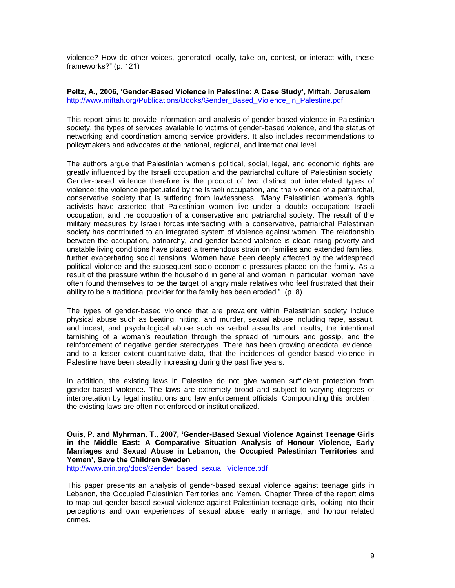violence? How do other voices, generated locally, take on, contest, or interact with, these frameworks?" (p. 121)

### **Peltz, A., 2006, 'Gender-Based Violence in Palestine: A Case Study', Miftah, Jerusalem** [http://www.miftah.org/Publications/Books/Gender\\_Based\\_Violence\\_in\\_Palestine.pdf](http://www.miftah.org/Publications/Books/Gender_Based_Violence_in_Palestine.pdf)

This report aims to provide information and analysis of gender-based violence in Palestinian society, the types of services available to victims of gender-based violence, and the status of networking and coordination among service providers. It also includes recommendations to policymakers and advocates at the national, regional, and international level.

The authors argue that Palestinian women"s political, social, legal, and economic rights are greatly influenced by the Israeli occupation and the patriarchal culture of Palestinian society. Gender-based violence therefore is the product of two distinct but interrelated types of violence: the violence perpetuated by the Israeli occupation, and the violence of a patriarchal, conservative society that is suffering from lawlessness. "Many Palestinian women"s rights activists have asserted that Palestinian women live under a double occupation: Israeli occupation, and the occupation of a conservative and patriarchal society. The result of the military measures by Israeli forces intersecting with a conservative, patriarchal Palestinian society has contributed to an integrated system of violence against women. The relationship between the occupation, patriarchy, and gender-based violence is clear: rising poverty and unstable living conditions have placed a tremendous strain on families and extended families, further exacerbating social tensions. Women have been deeply affected by the widespread political violence and the subsequent socio-economic pressures placed on the family. As a result of the pressure within the household in general and women in particular, women have often found themselves to be the target of angry male relatives who feel frustrated that their ability to be a traditional provider for the family has been eroded." (p. 8)

The types of gender-based violence that are prevalent within Palestinian society include physical abuse such as beating, hitting, and murder, sexual abuse including rape, assault, and incest, and psychological abuse such as verbal assaults and insults, the intentional tarnishing of a woman"s reputation through the spread of rumours and gossip, and the reinforcement of negative gender stereotypes. There has been growing anecdotal evidence, and to a lesser extent quantitative data, that the incidences of gender-based violence in Palestine have been steadily increasing during the past five years.

In addition, the existing laws in Palestine do not give women sufficient protection from gender-based violence. The laws are extremely broad and subject to varying degrees of interpretation by legal institutions and law enforcement officials. Compounding this problem, the existing laws are often not enforced or institutionalized.

**Ouis, P. and Myhrman, T., 2007, 'Gender-Based Sexual Violence Against Teenage Girls in the Middle East: A Comparative Situation Analysis of Honour Violence, Early Marriages and Sexual Abuse in Lebanon, the Occupied Palestinian Territories and Yemen', Save the Children Sweden**

[http://www.crin.org/docs/Gender\\_based\\_sexual\\_Violence.pdf](http://www.crin.org/docs/Gender_based_sexual_Violence.pdf)

This paper presents an analysis of gender-based sexual violence against teenage girls in Lebanon, the Occupied Palestinian Territories and Yemen. Chapter Three of the report aims to map out gender based sexual violence against Palestinian teenage girls, looking into their perceptions and own experiences of sexual abuse, early marriage, and honour related crimes.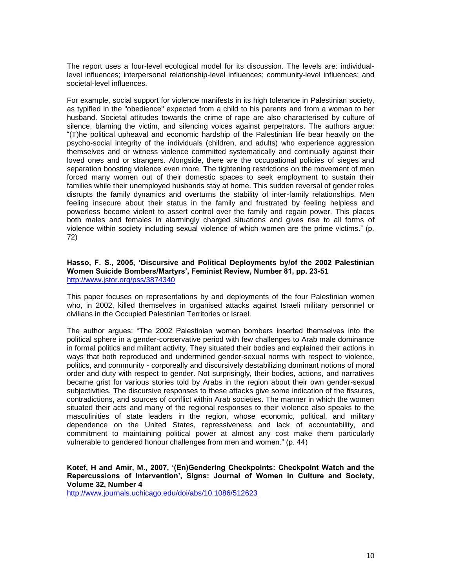The report uses a four-level ecological model for its discussion. The levels are: individuallevel influences; interpersonal relationship-level influences; community-level influences; and societal-level influences.

For example, social support for violence manifests in its high tolerance in Palestinian society, as typified in the "obedience" expected from a child to his parents and from a woman to her husband. Societal attitudes towards the crime of rape are also characterised by culture of silence, blaming the victim, and silencing voices against perpetrators. The authors argue: "(T)he political upheaval and economic hardship of the Palestinian life bear heavily on the psycho-social integrity of the individuals (children, and adults) who experience aggression themselves and or witness violence committed systematically and continually against their loved ones and or strangers. Alongside, there are the occupational policies of sieges and separation boosting violence even more. The tightening restrictions on the movement of men forced many women out of their domestic spaces to seek employment to sustain their families while their unemployed husbands stay at home. This sudden reversal of gender roles disrupts the family dynamics and overturns the stability of inter-family relationships. Men feeling insecure about their status in the family and frustrated by feeling helpless and powerless become violent to assert control over the family and regain power. This places both males and females in alarmingly charged situations and gives rise to all forms of violence within society including sexual violence of which women are the prime victims." (p. 72)

#### **Hasso, F. S., 2005, 'Discursive and Political Deployments by/of the 2002 Palestinian Women Suicide Bombers/Martyrs', Feminist Review, Number 81, pp. 23-51** <http://www.jstor.org/pss/3874340>

This paper focuses on representations by and deployments of the four Palestinian women who, in 2002, killed themselves in organised attacks against Israeli military personnel or civilians in the Occupied Palestinian Territories or Israel.

The author argues: "The 2002 Palestinian women bombers inserted themselves into the political sphere in a gender-conservative period with few challenges to Arab male dominance in formal politics and militant activity. They situated their bodies and explained their actions in ways that both reproduced and undermined gender-sexual norms with respect to violence, politics, and community - corporeally and discursively destabilizing dominant notions of moral order and duty with respect to gender. Not surprisingly, their bodies, actions, and narratives became grist for various stories told by Arabs in the region about their own gender-sexual subjectivities. The discursive responses to these attacks give some indication of the fissures, contradictions, and sources of conflict within Arab societies. The manner in which the women situated their acts and many of the regional responses to their violence also speaks to the masculinities of state leaders in the region, whose economic, political, and military dependence on the United States, repressiveness and lack of accountability, and commitment to maintaining political power at almost any cost make them particularly vulnerable to gendered honour challenges from men and women." (p. 44)

# **Kotef, H and Amir, M., 2007, '(En)Gendering Checkpoints: Checkpoint Watch and the Repercussions of Intervention', Signs: Journal of Women in Culture and Society, Volume 32, Number 4**

<http://www.journals.uchicago.edu/doi/abs/10.1086/512623>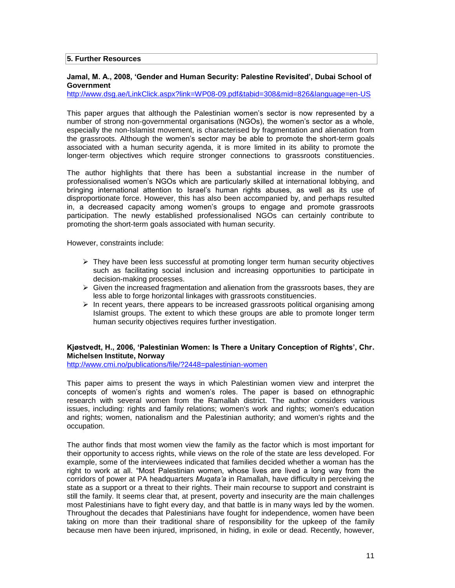#### **5. Further Resources**

### **Jamal, M. A., 2008, 'Gender and Human Security: Palestine Revisited', Dubai School of Government**

<http://www.dsg.ae/LinkClick.aspx?link=WP08-09.pdf&tabid=308&mid=826&language=en-US>

This paper argues that although the Palestinian women"s sector is now represented by a number of strong non-governmental organisations (NGOs), the women"s sector as a whole, especially the non-Islamist movement, is characterised by fragmentation and alienation from the grassroots. Although the women"s sector may be able to promote the short-term goals associated with a human security agenda, it is more limited in its ability to promote the longer-term objectives which require stronger connections to grassroots constituencies.

The author highlights that there has been a substantial increase in the number of professionalised women"s NGOs which are particularly skilled at international lobbying, and bringing international attention to Israel"s human rights abuses, as well as its use of disproportionate force. However, this has also been accompanied by, and perhaps resulted in, a decreased capacity among women"s groups to engage and promote grassroots participation. The newly established professionalised NGOs can certainly contribute to promoting the short-term goals associated with human security.

However, constraints include:

- $\triangleright$  They have been less successful at promoting longer term human security objectives such as facilitating social inclusion and increasing opportunities to participate in decision-making processes.
- $\triangleright$  Given the increased fragmentation and alienation from the grassroots bases, they are less able to forge horizontal linkages with grassroots constituencies.
- $\triangleright$  In recent years, there appears to be increased grassroots political organising among Islamist groups. The extent to which these groups are able to promote longer term human security objectives requires further investigation.

# **Kjøstvedt, H., 2006, 'Palestinian Women: Is There a Unitary Conception of Rights', Chr. Michelsen Institute, Norway**

<http://www.cmi.no/publications/file/?2448=palestinian-women>

This paper aims to present the ways in which Palestinian women view and interpret the concepts of women"s rights and women"s roles. The paper is based on ethnographic research with several women from the Ramallah district. The author considers various issues, including: rights and family relations; women's work and rights; women's education and rights; women, nationalism and the Palestinian authority; and women's rights and the occupation.

The author finds that most women view the family as the factor which is most important for their opportunity to access rights, while views on the role of the state are less developed. For example, some of the interviewees indicated that families decided whether a woman has the right to work at all. "Most Palestinian women, whose lives are lived a long way from the corridors of power at PA headquarters *Muqata'a* in Ramallah, have difficulty in perceiving the state as a support or a threat to their rights. Their main recourse to support and constraint is still the family. It seems clear that, at present, poverty and insecurity are the main challenges most Palestinians have to fight every day, and that battle is in many ways led by the women. Throughout the decades that Palestinians have fought for independence, women have been taking on more than their traditional share of responsibility for the upkeep of the family because men have been injured, imprisoned, in hiding, in exile or dead. Recently, however,